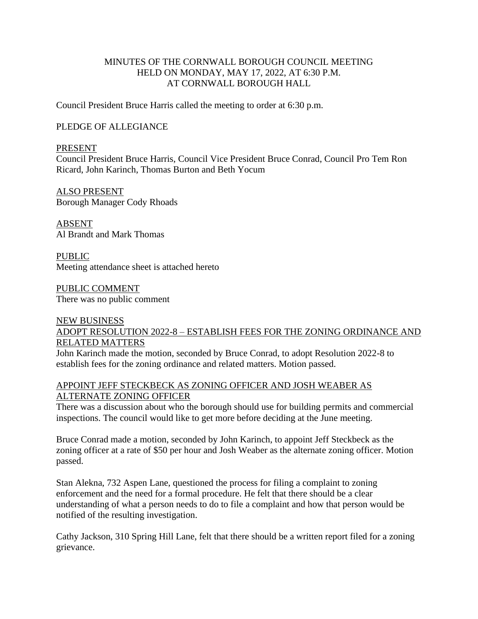## MINUTES OF THE CORNWALL BOROUGH COUNCIL MEETING HELD ON MONDAY, MAY 17, 2022, AT 6:30 P.M. AT CORNWALL BOROUGH HALL

Council President Bruce Harris called the meeting to order at 6:30 p.m.

### PLEDGE OF ALLEGIANCE

#### PRESENT

Council President Bruce Harris, Council Vice President Bruce Conrad, Council Pro Tem Ron Ricard, John Karinch, Thomas Burton and Beth Yocum

ALSO PRESENT Borough Manager Cody Rhoads

ABSENT Al Brandt and Mark Thomas

PUBLIC Meeting attendance sheet is attached hereto

PUBLIC COMMENT There was no public comment

## NEW BUSINESS ADOPT RESOLUTION 2022-8 – ESTABLISH FEES FOR THE ZONING ORDINANCE AND RELATED MATTERS

John Karinch made the motion, seconded by Bruce Conrad, to adopt Resolution 2022-8 to establish fees for the zoning ordinance and related matters. Motion passed.

### APPOINT JEFF STECKBECK AS ZONING OFFICER AND JOSH WEABER AS ALTERNATE ZONING OFFICER

There was a discussion about who the borough should use for building permits and commercial inspections. The council would like to get more before deciding at the June meeting.

Bruce Conrad made a motion, seconded by John Karinch, to appoint Jeff Steckbeck as the zoning officer at a rate of \$50 per hour and Josh Weaber as the alternate zoning officer. Motion passed.

Stan Alekna, 732 Aspen Lane, questioned the process for filing a complaint to zoning enforcement and the need for a formal procedure. He felt that there should be a clear understanding of what a person needs to do to file a complaint and how that person would be notified of the resulting investigation.

Cathy Jackson, 310 Spring Hill Lane, felt that there should be a written report filed for a zoning grievance.